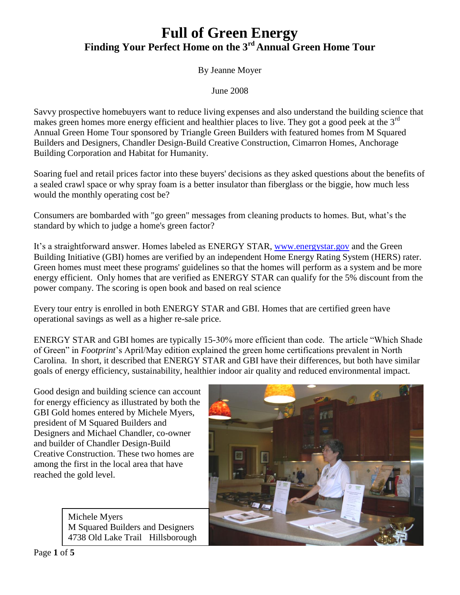## **Full of Green Energy Finding Your Perfect Home on the 3rd Annual Green Home Tour**

By Jeanne Moyer

June 2008

Savvy prospective homebuyers want to reduce living expenses and also understand the building science that makes green homes more energy efficient and healthier places to live. They got a good peek at the  $3<sup>rd</sup>$ Annual Green Home Tour sponsored by Triangle Green Builders with featured homes from M Squared Builders and Designers, Chandler Design-Build Creative Construction, Cimarron Homes, Anchorage Building Corporation and Habitat for Humanity.

Soaring fuel and retail prices factor into these buyers' decisions as they asked questions about the benefits of a sealed crawl space or why spray foam is a better insulator than fiberglass or the biggie, how much less would the monthly operating cost be?

Consumers are bombarded with "go green" messages from cleaning products to homes. But, what's the standard by which to judge a home's green factor?

It's a straightforward answer. Homes labeled as ENERGY STAR, [www.energystar.gov](http://www.energystar.gov/) and the Green Building Initiative (GBI) homes are verified by an independent Home Energy Rating System (HERS) rater. Green homes must meet these programs' guidelines so that the homes will perform as a system and be more energy efficient. Only homes that are verified as ENERGY STAR can qualify for the 5% discount from the power company. The scoring is open book and based on real science

Every tour entry is enrolled in both ENERGY STAR and GBI. Homes that are certified green have operational savings as well as a higher re-sale price.

ENERGY STAR and GBI homes are typically 15-30% more efficient than code. The article "Which Shade of Green" in *Footprint*'s April/May edition explained the green home certifications prevalent in North Carolina. In short, it described that ENERGY STAR and GBI have their differences, but both have similar goals of energy efficiency, sustainability, healthier indoor air quality and reduced environmental impact.

Good design and building science can account for energy efficiency as illustrated by both the GBI Gold homes entered by Michele Myers, president of M Squared Builders and Designers and Michael Chandler, co-owner and builder of Chandler Design-Build Creative Construction. These two homes are among the first in the local area that have reached the gold level.

> Michele Myers M Squared Builders and Designers 4738 Old Lake Trail Hillsborough

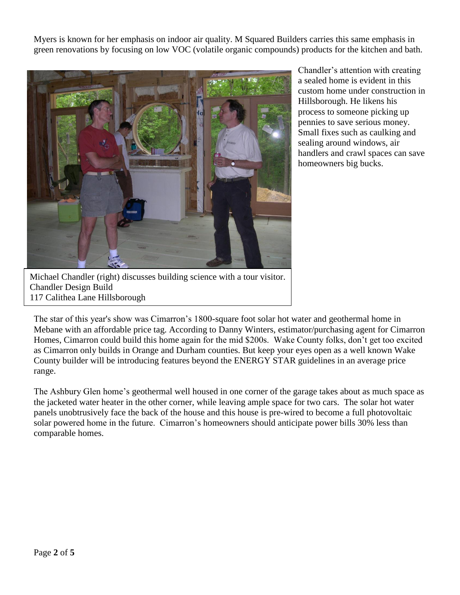Myers is known for her emphasis on indoor air quality. M Squared Builders carries this same emphasis in green renovations by focusing on low VOC (volatile organic compounds) products for the kitchen and bath.



Chandler's attention with creating a sealed home is evident in this custom home under construction in Hillsborough. He likens his process to someone picking up pennies to save serious money. Small fixes such as caulking and sealing around windows, air handlers and crawl spaces can save homeowners big bucks.

Michael Chandler (right) discusses building science with a tour visitor. Chandler Design Build 117 Calithea Lane Hillsborough

The star of this year's show was Cimarron's 1800-square foot solar hot water and geothermal home in Mebane with an affordable price tag. According to Danny Winters, estimator/purchasing agent for Cimarron Homes, Cimarron could build this home again for the mid \$200s. Wake County folks, don't get too excited as Cimarron only builds in Orange and Durham counties. But keep your eyes open as a well known Wake County builder will be introducing features beyond the ENERGY STAR guidelines in an average price range.

The Ashbury Glen home's geothermal well housed in one corner of the garage takes about as much space as the jacketed water heater in the other corner, while leaving ample space for two cars. The solar hot water panels unobtrusively face the back of the house and this house is pre-wired to become a full photovoltaic solar powered home in the future. Cimarron's homeowners should anticipate power bills 30% less than comparable homes.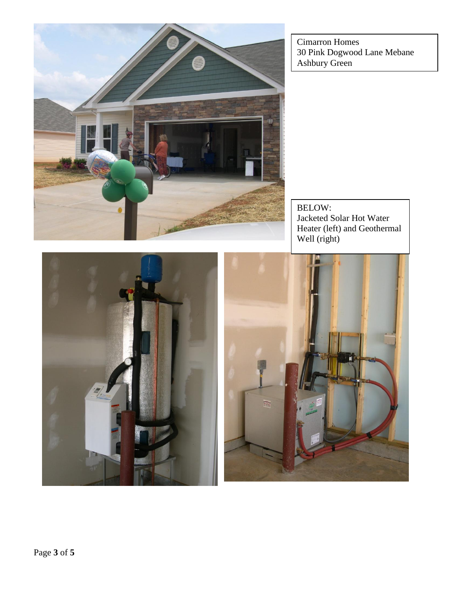Cimarron Homes 30 Pink Dogwood Lane Mebane Ashbury Green



BELOW: Jacketed Solar Hot Water Heater (left) and Geothermal Well (right)



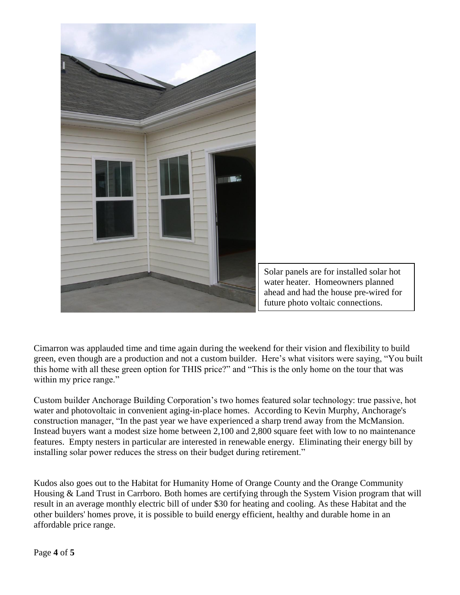

Cimarron was applauded time and time again during the weekend for their vision and flexibility to build green, even though are a production and not a custom builder. Here's what visitors were saying, "You built this home with all these green option for THIS price?" and "This is the only home on the tour that was within my price range."

Custom builder Anchorage Building Corporation's two homes featured solar technology: true passive, hot water and photovoltaic in convenient aging-in-place homes. According to Kevin Murphy, Anchorage's construction manager, "In the past year we have experienced a sharp trend away from the McMansion. Instead buyers want a modest size home between 2,100 and 2,800 square feet with low to no maintenance features. Empty nesters in particular are interested in renewable energy. Eliminating their energy bill by installing solar power reduces the stress on their budget during retirement."

Kudos also goes out to the Habitat for Humanity Home of Orange County and the Orange Community Housing & Land Trust in Carrboro. Both homes are certifying through the System Vision program that will result in an average monthly electric bill of under \$30 for heating and cooling. As these Habitat and the other builders' homes prove, it is possible to build energy efficient, healthy and durable home in an affordable price range.